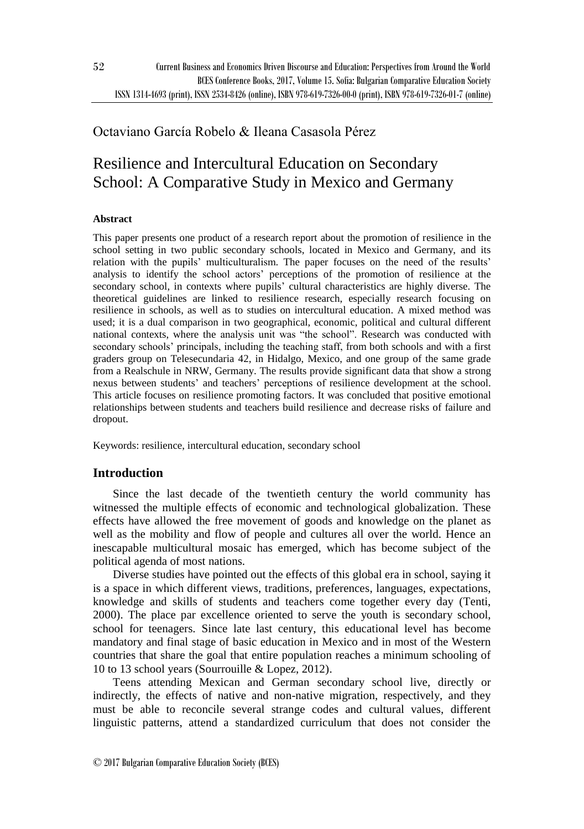## Octaviano García Robelo & Ileana Casasola Pérez

# Resilience and Intercultural Education on Secondary School: A Comparative Study in Mexico and Germany

## **Abstract**

This paper presents one product of a research report about the promotion of resilience in the school setting in two public secondary schools, located in Mexico and Germany, and its relation with the pupils' multiculturalism. The paper focuses on the need of the results' analysis to identify the school actors' perceptions of the promotion of resilience at the secondary school, in contexts where pupils' cultural characteristics are highly diverse. The theoretical guidelines are linked to resilience research, especially research focusing on resilience in schools, as well as to studies on intercultural education. A mixed method was used; it is a dual comparison in two geographical, economic, political and cultural different national contexts, where the analysis unit was "the school". Research was conducted with secondary schools' principals, including the teaching staff, from both schools and with a first graders group on Telesecundaria 42, in Hidalgo, Mexico, and one group of the same grade from a Realschule in NRW, Germany. The results provide significant data that show a strong nexus between students' and teachers' perceptions of resilience development at the school. This article focuses on resilience promoting factors. It was concluded that positive emotional relationships between students and teachers build resilience and decrease risks of failure and dropout.

Keywords: resilience, intercultural education, secondary school

## **Introduction**

Since the last decade of the twentieth century the world community has witnessed the multiple effects of economic and technological globalization. These effects have allowed the free movement of goods and knowledge on the planet as well as the mobility and flow of people and cultures all over the world. Hence an inescapable multicultural mosaic has emerged, which has become subject of the political agenda of most nations.

Diverse studies have pointed out the effects of this global era in school, saying it is a space in which different views, traditions, preferences, languages, expectations, knowledge and skills of students and teachers come together every day (Tenti, 2000). The place par excellence oriented to serve the youth is secondary school, school for teenagers. Since late last century, this educational level has become mandatory and final stage of basic education in Mexico and in most of the Western countries that share the goal that entire population reaches a minimum schooling of 10 to 13 school years (Sourrouille & Lopez, 2012).

Teens attending Mexican and German secondary school live, directly or indirectly, the effects of native and non-native migration, respectively, and they must be able to reconcile several strange codes and cultural values, different linguistic patterns, attend a standardized curriculum that does not consider the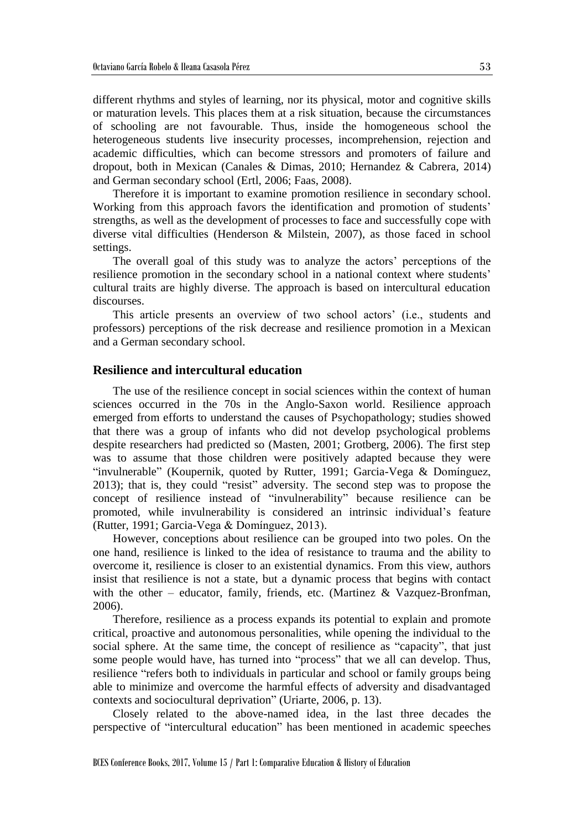different rhythms and styles of learning, nor its physical, motor and cognitive skills or maturation levels. This places them at a risk situation, because the circumstances of schooling are not favourable. Thus, inside the homogeneous school the heterogeneous students live insecurity processes, incomprehension, rejection and academic difficulties, which can become stressors and promoters of failure and dropout, both in Mexican (Canales & Dimas, 2010; Hernandez & Cabrera, 2014) and German secondary school (Ertl, 2006; Faas, 2008).

Therefore it is important to examine promotion resilience in secondary school. Working from this approach favors the identification and promotion of students' strengths, as well as the development of processes to face and successfully cope with diverse vital difficulties (Henderson & Milstein, 2007), as those faced in school settings.

The overall goal of this study was to analyze the actors' perceptions of the resilience promotion in the secondary school in a national context where students' cultural traits are highly diverse. The approach is based on intercultural education discourses.

This article presents an overview of two school actors' (i.e., students and professors) perceptions of the risk decrease and resilience promotion in a Mexican and a German secondary school.

#### **Resilience and intercultural education**

The use of the resilience concept in social sciences within the context of human sciences occurred in the 70s in the Anglo-Saxon world. Resilience approach emerged from efforts to understand the causes of Psychopathology; studies showed that there was a group of infants who did not develop psychological problems despite researchers had predicted so (Masten, 2001; Grotberg, 2006). The first step was to assume that those children were positively adapted because they were "invulnerable" (Koupernik, quoted by Rutter, 1991; Garcia-Vega & Domínguez, 2013); that is, they could "resist" adversity. The second step was to propose the concept of resilience instead of "invulnerability" because resilience can be promoted, while invulnerability is considered an intrinsic individual's feature (Rutter, 1991; Garcia-Vega & Domínguez, 2013).

However, conceptions about resilience can be grouped into two poles. On the one hand, resilience is linked to the idea of resistance to trauma and the ability to overcome it, resilience is closer to an existential dynamics. From this view, authors insist that resilience is not a state, but a dynamic process that begins with contact with the other – educator, family, friends, etc. (Martinez  $& V$ azquez-Bronfman, 2006).

Therefore, resilience as a process expands its potential to explain and promote critical, proactive and autonomous personalities, while opening the individual to the social sphere. At the same time, the concept of resilience as "capacity", that just some people would have, has turned into "process" that we all can develop. Thus, resilience "refers both to individuals in particular and school or family groups being able to minimize and overcome the harmful effects of adversity and disadvantaged contexts and sociocultural deprivation" (Uriarte, 2006, p. 13).

Closely related to the above-named idea, in the last three decades the perspective of "intercultural education" has been mentioned in academic speeches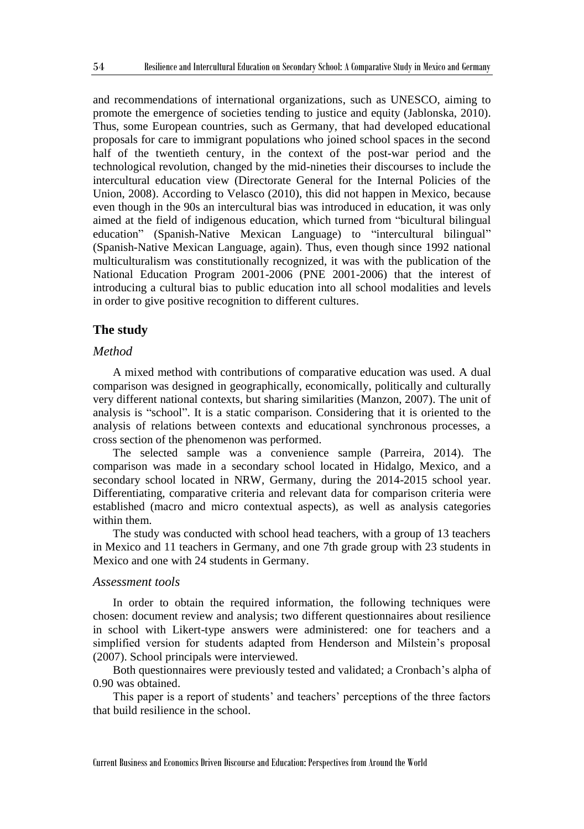and recommendations of international organizations, such as UNESCO, aiming to promote the emergence of societies tending to justice and equity (Jablonska, 2010). Thus, some European countries, such as Germany, that had developed educational proposals for care to immigrant populations who joined school spaces in the second half of the twentieth century, in the context of the post-war period and the technological revolution, changed by the mid-nineties their discourses to include the intercultural education view (Directorate General for the Internal Policies of the Union, 2008). According to Velasco (2010), this did not happen in Mexico, because even though in the 90s an intercultural bias was introduced in education, it was only aimed at the field of indigenous education, which turned from "bicultural bilingual education" (Spanish-Native Mexican Language) to "intercultural bilingual" (Spanish-Native Mexican Language, again). Thus, even though since 1992 national multiculturalism was constitutionally recognized, it was with the publication of the National Education Program 2001-2006 (PNE 2001-2006) that the interest of introducing a cultural bias to public education into all school modalities and levels in order to give positive recognition to different cultures.

#### **The study**

## *Method*

A mixed method with contributions of comparative education was used. A dual comparison was designed in geographically, economically, politically and culturally very different national contexts, but sharing similarities (Manzon, 2007). The unit of analysis is "school". It is a static comparison. Considering that it is oriented to the analysis of relations between contexts and educational synchronous processes, a cross section of the phenomenon was performed.

The selected sample was a convenience sample (Parreira, 2014). The comparison was made in a secondary school located in Hidalgo, Mexico, and a secondary school located in NRW, Germany, during the 2014-2015 school year. Differentiating, comparative criteria and relevant data for comparison criteria were established (macro and micro contextual aspects), as well as analysis categories within them.

The study was conducted with school head teachers, with a group of 13 teachers in Mexico and 11 teachers in Germany, and one 7th grade group with 23 students in Mexico and one with 24 students in Germany.

#### *Assessment tools*

In order to obtain the required information, the following techniques were chosen: document review and analysis; two different questionnaires about resilience in school with Likert-type answers were administered: one for teachers and a simplified version for students adapted from Henderson and Milstein's proposal (2007). School principals were interviewed.

Both questionnaires were previously tested and validated; a Cronbach's alpha of 0.90 was obtained.

This paper is a report of students' and teachers' perceptions of the three factors that build resilience in the school.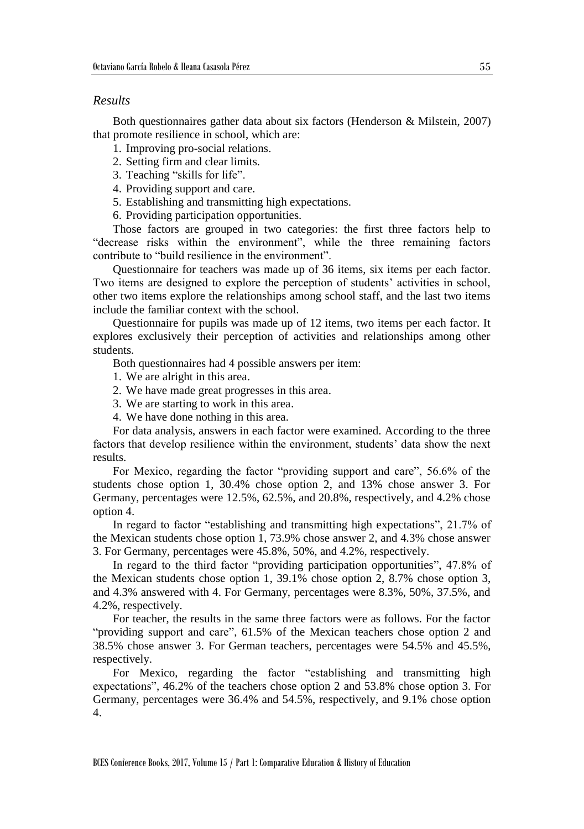### *Results*

Both questionnaires gather data about six factors (Henderson & Milstein, 2007) that promote resilience in school, which are:

- 1. Improving pro-social relations.
- 2. Setting firm and clear limits.
- 3. Teaching "skills for life".
- 4. Providing support and care.
- 5. Establishing and transmitting high expectations.
- 6. Providing participation opportunities.

Those factors are grouped in two categories: the first three factors help to "decrease risks within the environment", while the three remaining factors contribute to "build resilience in the environment".

Questionnaire for teachers was made up of 36 items, six items per each factor. Two items are designed to explore the perception of students' activities in school, other two items explore the relationships among school staff, and the last two items include the familiar context with the school.

Questionnaire for pupils was made up of 12 items, two items per each factor. It explores exclusively their perception of activities and relationships among other students.

Both questionnaires had 4 possible answers per item:

- 1. We are alright in this area.
- 2. We have made great progresses in this area.
- 3. We are starting to work in this area.
- 4. We have done nothing in this area.

For data analysis, answers in each factor were examined. According to the three factors that develop resilience within the environment, students' data show the next results.

For Mexico, regarding the factor "providing support and care", 56.6% of the students chose option 1, 30.4% chose option 2, and 13% chose answer 3. For Germany, percentages were 12.5%, 62.5%, and 20.8%, respectively, and 4.2% chose option 4.

In regard to factor "establishing and transmitting high expectations", 21.7% of the Mexican students chose option 1, 73.9% chose answer 2, and 4.3% chose answer 3. For Germany, percentages were 45.8%, 50%, and 4.2%, respectively.

In regard to the third factor "providing participation opportunities", 47.8% of the Mexican students chose option 1, 39.1% chose option 2, 8.7% chose option 3, and 4.3% answered with 4. For Germany, percentages were 8.3%, 50%, 37.5%, and 4.2%, respectively.

For teacher, the results in the same three factors were as follows. For the factor "providing support and care", 61.5% of the Mexican teachers chose option 2 and 38.5% chose answer 3. For German teachers, percentages were 54.5% and 45.5%, respectively.

For Mexico, regarding the factor "establishing and transmitting high expectations", 46.2% of the teachers chose option 2 and 53.8% chose option 3. For Germany, percentages were 36.4% and 54.5%, respectively, and 9.1% chose option 4.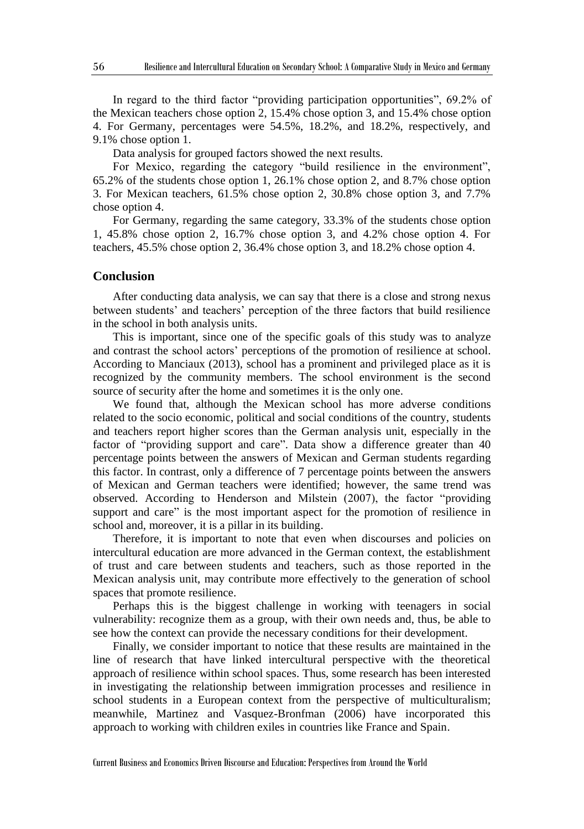In regard to the third factor "providing participation opportunities", 69.2% of the Mexican teachers chose option 2, 15.4% chose option 3, and 15.4% chose option 4. For Germany, percentages were 54.5%, 18.2%, and 18.2%, respectively, and 9.1% chose option 1.

Data analysis for grouped factors showed the next results.

For Mexico, regarding the category "build resilience in the environment", 65.2% of the students chose option 1, 26.1% chose option 2, and 8.7% chose option 3. For Mexican teachers, 61.5% chose option 2, 30.8% chose option 3, and 7.7% chose option 4.

For Germany, regarding the same category, 33.3% of the students chose option 1, 45.8% chose option 2, 16.7% chose option 3, and 4.2% chose option 4. For teachers, 45.5% chose option 2, 36.4% chose option 3, and 18.2% chose option 4.

#### **Conclusion**

After conducting data analysis, we can say that there is a close and strong nexus between students' and teachers' perception of the three factors that build resilience in the school in both analysis units.

This is important, since one of the specific goals of this study was to analyze and contrast the school actors' perceptions of the promotion of resilience at school. According to Manciaux (2013), school has a prominent and privileged place as it is recognized by the community members. The school environment is the second source of security after the home and sometimes it is the only one.

We found that, although the Mexican school has more adverse conditions related to the socio economic, political and social conditions of the country, students and teachers report higher scores than the German analysis unit, especially in the factor of "providing support and care". Data show a difference greater than 40 percentage points between the answers of Mexican and German students regarding this factor. In contrast, only a difference of 7 percentage points between the answers of Mexican and German teachers were identified; however, the same trend was observed. According to Henderson and Milstein (2007), the factor "providing support and care" is the most important aspect for the promotion of resilience in school and, moreover, it is a pillar in its building.

Therefore, it is important to note that even when discourses and policies on intercultural education are more advanced in the German context, the establishment of trust and care between students and teachers, such as those reported in the Mexican analysis unit, may contribute more effectively to the generation of school spaces that promote resilience.

Perhaps this is the biggest challenge in working with teenagers in social vulnerability: recognize them as a group, with their own needs and, thus, be able to see how the context can provide the necessary conditions for their development.

Finally, we consider important to notice that these results are maintained in the line of research that have linked intercultural perspective with the theoretical approach of resilience within school spaces. Thus, some research has been interested in investigating the relationship between immigration processes and resilience in school students in a European context from the perspective of multiculturalism; meanwhile, Martinez and Vasquez-Bronfman (2006) have incorporated this approach to working with children exiles in countries like France and Spain.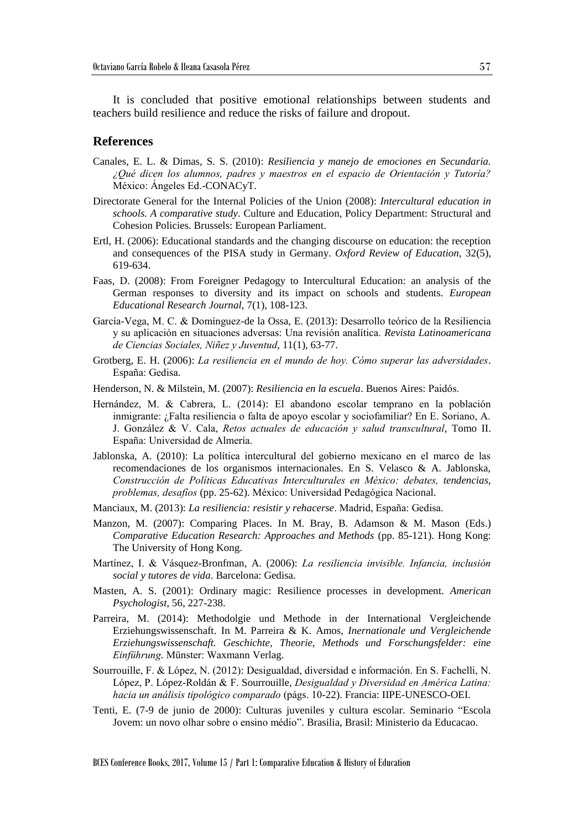It is concluded that positive emotional relationships between students and teachers build resilience and reduce the risks of failure and dropout.

#### **References**

- Canales, E. L. & Dimas, S. S. (2010): *Resiliencia y manejo de emociones en Secundaria. ¿Qué dicen los alumnos, padres y maestros en el espacio de Orientación y Tutoría?* México: Ángeles Ed.-CONACyT.
- Directorate General for the Internal Policies of the Union (2008): *Intercultural education in schools. A comparative study*. Culture and Education, Policy Department: Structural and Cohesion Policies. Brussels: European Parliament.
- Ertl, H. (2006): Educational standards and the changing discourse on education: the reception and consequences of the PISA study in Germany. *Oxford Review of Education*, 32(5), 619-634.
- Faas, D. (2008): From Foreigner Pedagogy to Intercultural Education: an analysis of the German responses to diversity and its impact on schools and students. *European Educational Research Journal*, 7(1), 108-123.
- García-Vega, M. C. & Domínguez-de la Ossa, E. (2013): Desarrollo teórico de la Resiliencia y su aplicación en situaciones adversas: Una revisión analítica. *Revista Latinoamericana de Ciencias Sociales, Niñez y Juventud*, 11(1), 63-77.
- Grotberg, E. H. (2006): *La resiliencia en el mundo de hoy. Cómo superar las adversidades*. España: Gedisa.
- Henderson, N. & Milstein, M. (2007): *Resiliencia en la escuela*. Buenos Aires: Paidós.
- Hernández, M. & Cabrera, L. (2014): El abandono escolar temprano en la población inmigrante: ¿Falta resiliencia o falta de apoyo escolar y sociofamiliar? En E. Soriano, A. J. González & V. Cala, *Retos actuales de educación y salud transcultural*, Tomo II. España: Universidad de Almería.
- Jablonska, A. (2010): La política intercultural del gobierno mexicano en el marco de las recomendaciones de los organismos internacionales. En S. Velasco & A. Jablonska, *Construcción de Políticas Educativas Interculturales en México: debates, tendencias, problemas, desafíos* (pp. 25-62). México: Universidad Pedagógica Nacional.
- Manciaux, M. (2013): *La resiliencia: resistir y rehacerse*. Madrid, España: Gedisa.
- Manzon, M. (2007): Comparing Places. In M. Bray, B. Adamson & M. Mason (Eds.) *Comparative Education Research: Approaches and Methods* (pp. 85-121). Hong Kong: The University of Hong Kong.
- Martínez, I. & Vásquez-Bronfman, A. (2006): *La resiliencia invisible. Infancia, inclusión social y tutores de vida*. Barcelona: Gedisa.
- Masten, A. S. (2001): Ordinary magic: Resilience processes in development. *American Psychologist*, 56, 227-238.
- Parreira, M. (2014): Methodolgie und Methode in der International Vergleichende Erziehungswissenschaft. In M. Parreira & K. Amos, *Inernationale und Vergleichende Erziehungswissenschaft. Geschichte, Theorie, Methods und Forschungsfelder: eine Einführung*. Münster: Waxmann Verlag.
- Sourrouille, F. & López, N. (2012): Desigualdad, diversidad e información. En S. Fachelli, N. López, P. López-Roldán & F. Sourrouille, *Desigualdad y Diversidad en América Latina: hacia un análisis tipológico comparado* (págs. 10-22). Francia: IIPE-UNESCO-OEI.
- Tenti, E. (7-9 de junio de 2000): Culturas juveniles y cultura escolar. Seminario "Escola Jovem: un novo olhar sobre o ensino médio". Brasilia, Brasil: Ministerio da Educacao.

BCES Conference Books, 2017, Volume 15 / Part 1: Comparative Education & History of Education